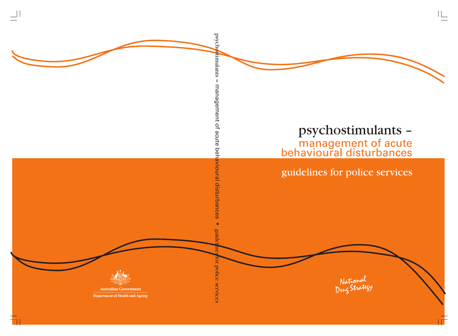

# psychostimulants management of acute<br>behavioural disturbances

## guidelines for police services

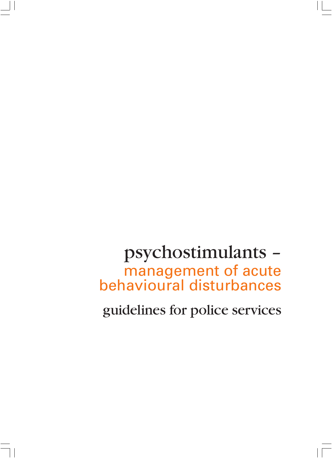## psychostimulants – management of acute behavioural disturbances

guidelines for police services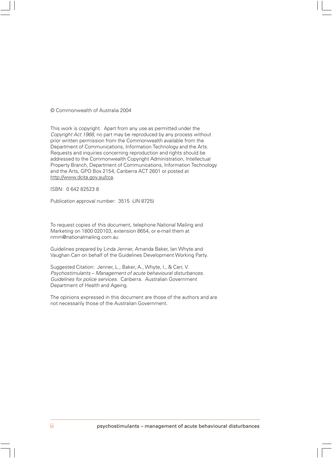#### © Commonwealth of Australia 2004

This work is copyright. Apart from any use as permitted under the Copyright Act 1968, no part may be reproduced by any process without prior written permission from the Commonwealth available from the Department of Communications, Information Technology and the Arts. Requests and inquiries concerning reproduction and rights should be addressed to the Commonwealth Copyright Administration, Intellectual Property Branch, Department of Communications, Information Technology and the Arts, GPO Box 2154, Canberra ACT 2601 or posted at http://www.dcita.gov.au/cca.

ISBN: 0 642 82523 8

Publication approval number: 3515 (JN 8725)

To request copies of this document, telephone National Mailing and Marketing on 1800 020103, extension 8654, or e-mail them at nmm@nationalmailing.com.au

Guidelines prepared by Linda Jenner, Amanda Baker, Ian Whyte and Vaughan Carr on behalf of the Guidelines Development Working Party.

Suggested Citation: Jenner, L., Baker, A., Whyte, I., & Carr, V. Psychostimulants – Management of acute behavioural disturbances. Guidelines for police services. Canberra. Australian Government Department of Health and Ageing.

The opinions expressed in this document are those of the authors and are not necessarily those of the Australian Government.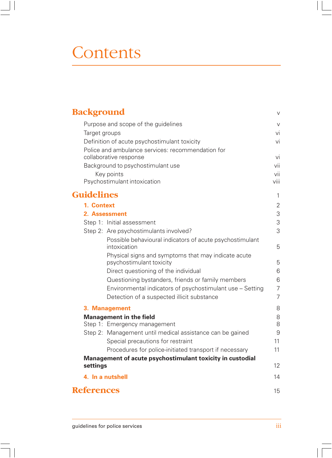# Contents

| <b>Background</b>                                                               | $\vee$          |
|---------------------------------------------------------------------------------|-----------------|
| Purpose and scope of the guidelines                                             | V               |
| Target groups                                                                   | vi              |
| Definition of acute psychostimulant toxicity                                    | vi              |
| Police and ambulance services: recommendation for                               |                 |
| collaborative response                                                          | vi              |
| Background to psychostimulant use                                               | vii             |
| Key points                                                                      | vii             |
| Psychostimulant intoxication                                                    | viii            |
| <b>Guidelines</b>                                                               | 1               |
| 1. Context                                                                      | $\overline{2}$  |
| 2. Assessment                                                                   | 3               |
| Step 1: Initial assessment                                                      | 3               |
| Step 2: Are psychostimulants involved?                                          | 3               |
| Possible behavioural indicators of acute psychostimulant<br>intoxication        | 5               |
| Physical signs and symptoms that may indicate acute<br>psychostimulant toxicity | 5               |
| Direct questioning of the individual                                            | 6               |
| Questioning bystanders, friends or family members                               | 6               |
| Environmental indicators of psychostimulant use – Setting                       | $\overline{7}$  |
| Detection of a suspected illicit substance                                      | $\overline{7}$  |
| 3. Management                                                                   | 8               |
| <b>Management in the field</b>                                                  | 8               |
| Step 1: Emergency management                                                    | 8               |
| Step 2: Management until medical assistance can be gained                       | 9               |
| Special precautions for restraint                                               | 11              |
| Procedures for police-initiated transport if necessary                          | 11              |
| Management of acute psychostimulant toxicity in custodial                       |                 |
| settings                                                                        | 12 <sup>°</sup> |
| 4. In a nutshell                                                                | 14              |
| <b>References</b>                                                               | 15              |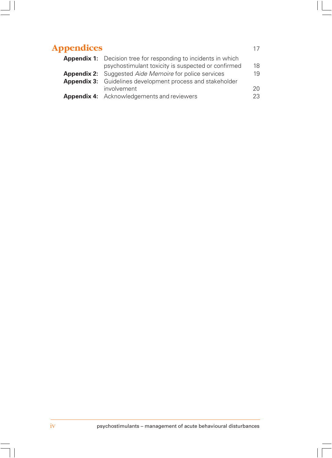### **Appendices** 17 **Appendix 1:** Decision tree for responding to incidents in which psychostimulant toxicity is suspected or confirmed 18 **Appendix 2:** Suggested *Aide Memoire* for police services 19<br>**Appendix 3:** Guidelines development process and stakeholder Guidelines development process and stakeholder involvement 20 **Appendix 4:** Acknowledgements and reviewers 23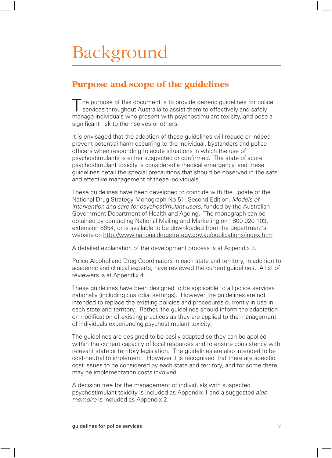# Background

## **Purpose and scope of the guidelines**

The purpose of this document is to provide generic quidelines for police services throughout Australia to assist them to effectively and safely manage individuals who present with psychostimulant toxicity, and pose a significant risk to themselves or others.

It is envisaged that the adoption of these guidelines will reduce or indeed prevent potential harm occurring to the individual, bystanders and police officers when responding to acute situations in which the use of psychostimulants is either suspected or confirmed. The state of acute psychostimulant toxicity is considered a medical emergency, and these guidelines detail the special precautions that should be observed in the safe and effective management of these individuals.

These guidelines have been developed to coincide with the update of the National Drug Strategy Monograph No 51, Second Edition, Models of intervention and care for psychostimulant users, funded by the Australian Government Department of Health and Ageing. The monograph can be obtained by contacting National Mailing and Marketing on 1800 020 103, extension 8654, or is available to be downloaded from the department's website on http://www.nationaldrugstrategy.gov.au/publications/index.htm

A detailed explanation of the development process is at Appendix 3.

Police Alcohol and Drug Coordinators in each state and territory, in addition to academic and clinical experts, have reviewed the current guidelines. A list of reviewers is at Appendix 4.

These guidelines have been designed to be applicable to all police services nationally (including custodial settings). However the guidelines are not intended to replace the existing policies and procedures currently in use in each state and territory. Rather, the guidelines should inform the adaptation or modification of existing practices as they are applied to the management of individuals experiencing psychostimulant toxicity.

The guidelines are designed to be easily adapted so they can be applied within the current capacity of local resources and to ensure consistency with relevant state or territory legislation. The guidelines are also intended to be cost-neutral to implement. However it is recognised that there are specific cost issues to be considered by each state and territory, and for some there may be implementation costs involved.

A decision tree for the management of individuals with suspected psychostimulant toxicity is included as Appendix 1 and a suggested aide memoire is included as Appendix 2.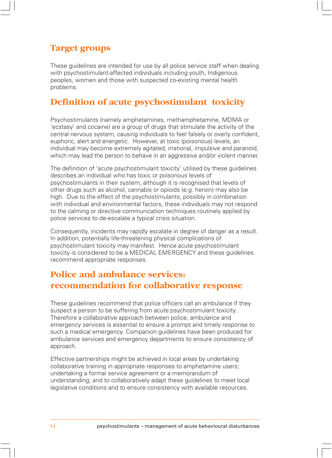## **Target groups**

These guidelines are intended for use by all police service staff when dealing with psychostimulant-affected individuals including youth, Indigenous peoples, women and those with suspected co-existing mental health problems.

### **Definition of acute psychostimulant toxicity**

Psychostimulants (namely amphetamines, methamphetamine, MDMA or 'ecstasy' and cocaine) are a group of drugs that stimulate the activity of the central nervous system, causing individuals to feel falsely or overly confident, euphoric, alert and energetic. However, at toxic (poisonous) levels, an individual may become extremely agitated, irrational, impulsive and paranoid, which may lead the person to behave in an aggressive and/or violent manner.

The definition of 'acute psychostimulant toxicity' utilised by these guidelines describes an individual who has toxic or poisonous levels of psychostimulants in their system, although it is recognised that levels of other drugs such as alcohol, cannabis or opioids (e.g. heroin) may also be high. Due to the effect of the psychostimulants, possibly in combination with individual and environmental factors, these individuals may not respond to the calming or directive communication techniques routinely applied by police services to de-escalate a typical crisis situation.

Consequently, incidents may rapidly escalate in degree of danger as a result. In addition, potentially life-threatening physical complications of psychostimulant toxicity may manifest. Hence acute psychostimulant toxicity is considered to be a MEDICAL EMERGENCY and these guidelines recommend appropriate responses.

## **Police and ambulance services: recommendation for collaborative response**

These guidelines recommend that police officers call an ambulance if they suspect a person to be suffering from acute psychostimulant toxicity. Therefore a collaborative approach between police, ambulance and emergency services is essential to ensure a prompt and timely response to such a medical emergency. Companion guidelines have been produced for ambulance services and emergency departments to ensure consistency of approach.

Effective partnerships might be achieved in local areas by undertaking collaborative training in appropriate responses to amphetamine users; undertaking a formal service agreement or a memorandum of understanding; and to collaboratively adapt these guidelines to meet local legislative conditions and to ensure consistency with available resources.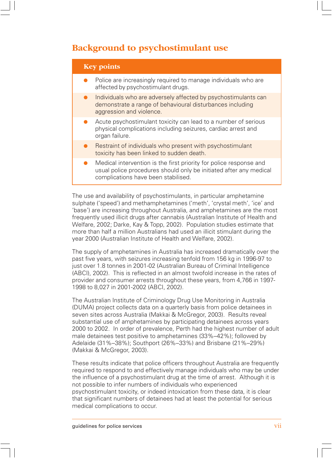## **Background to psychostimulant use**

| <b>Key points</b>                                                                                                                                                               |
|---------------------------------------------------------------------------------------------------------------------------------------------------------------------------------|
| Police are increasingly required to manage individuals who are<br>affected by psychostimulant drugs.                                                                            |
| Individuals who are adversely affected by psychostimulants can<br>demonstrate a range of behavioural disturbances including<br>aggression and violence.                         |
| Acute psychostimulant toxicity can lead to a number of serious<br>physical complications including seizures, cardiac arrest and<br>organ failure.                               |
| Restraint of individuals who present with psychostimulant<br>toxicity has been linked to sudden death.                                                                          |
| Medical intervention is the first priority for police response and<br>usual police procedures should only be initiated after any medical<br>complications have been stabilised. |

The use and availability of psychostimulants, in particular amphetamine sulphate ('speed') and methamphetamines ('meth', 'crystal meth', 'ice' and 'base') are increasing throughout Australia, and amphetamines are the most frequently used illicit drugs after cannabis (Australian Institute of Health and Welfare, 2002; Darke, Kay & Topp, 2002). Population studies estimate that more than half a million Australians had used an illicit stimulant during the year 2000 (Australian Institute of Health and Welfare, 2002).

The supply of amphetamines in Australia has increased dramatically over the past five years, with seizures increasing tenfold from 156 kg in 1996-97 to just over 1.8 tonnes in 2001-02 (Australian Bureau of Criminal Intelligence (ABCI), 2002). This is reflected in an almost twofold increase in the rates of provider and consumer arrests throughout these years, from 4,766 in 1997- 1998 to 8,027 in 2001-2002 (ABCI, 2002).

The Australian Institute of Criminology Drug Use Monitoring in Australia (DUMA) project collects data on a quarterly basis from police detainees in seven sites across Australia (Makkai & McGregor, 2003). Results reveal substantial use of amphetamines by participating detainees across years 2000 to 2002. In order of prevalence, Perth had the highest number of adult male detainees test positive to amphetamines (33%–42%); followed by Adelaide (31%–38%); Southport (26%–33%) and Brisbane (21%–29%) (Makkai & McGregor, 2003).

These results indicate that police officers throughout Australia are frequently required to respond to and effectively manage individuals who may be under the influence of a psychostimulant drug at the time of arrest. Although it is not possible to infer numbers of individuals who experienced psychostimulant toxicity, or indeed intoxication from these data, it is clear that significant numbers of detainees had at least the potential for serious medical complications to occur.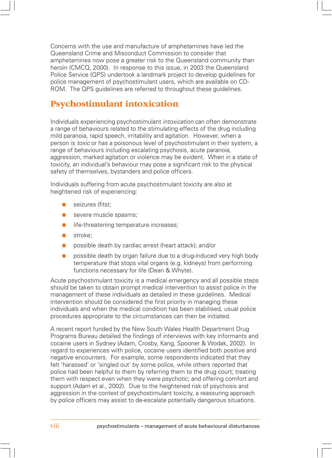Concerns with the use and manufacture of amphetamines have led the Queensland Crime and Misconduct Commission to consider that amphetamines now pose a greater risk to the Queensland community than heroin (CMCQ, 2000). In response to this issue, in 2003 the Queensland Police Service (QPS) undertook a landmark project to develop guidelines for police management of psychostimulant users, which are available on CD-ROM. The QPS guidelines are referred to throughout these guidelines.

## **Psychostimulant intoxication**

Individuals experiencing psychostimulant intoxication can often demonstrate a range of behaviours related to the stimulating effects of the drug including mild paranoia, rapid speech, irritability and agitation. However, when a person is toxic or has a poisonous level of psychostimulant in their system, a range of behaviours including escalating psychosis, acute paranoia, aggression, marked agitation or violence may be evident. When in a state of toxicity, an individual's behaviour may pose a significant risk to the physical safety of themselves, bystanders and police officers.

Individuals suffering from acute psychostimulant toxicity are also at heightened risk of experiencing:

- seizures (fits);
- severe muscle spasms;
- **•** life-threatening temperature increases;
- stroke:
- possible death by cardiac arrest (heart attack); and/or
- possible death by organ failure due to a drug-induced very high body temperature that stops vital organs (e.g. kidneys) from performing functions necessary for life (Dean & Whyte).

Acute psychostimulant toxicity is a medical emergency and all possible steps should be taken to obtain prompt medical intervention to assist police in the management of these individuals as detailed in these guidelines. Medical intervention should be considered the first priority in managing these individuals and when the medical condition has been stabilised, usual police procedures appropriate to the circumstances can then be initiated.

A recent report funded by the New South Wales Health Department Drug Programs Bureau detailed the findings of interviews with key informants and cocaine users in Sydney (Adam, Crosby, Kang, Spooner & Wodak, 2002). In regard to experiences with police, cocaine users identified both positive and negative encounters. For example, some respondents indicated that they felt 'harassed' or 'singled out' by some police, while others reported that police had been helpful to them by referring them to the drug court; treating them with respect even when they were psychotic; and offering comfort and support (Adam et al., 2002). Due to the heightened risk of psychosis and aggression in the context of psychostimulant toxicity, a reassuring approach by police officers may assist to de-escalate potentially dangerous situations.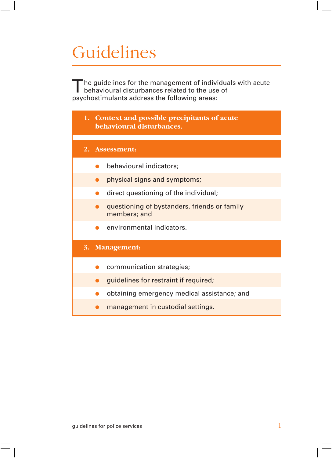# Guidelines

The guidelines for the management of individuals with acute<br>behavioural disturbances related to the use of psychostimulants address the following areas:

| 1. Context and possible precipitants of acute<br>behavioural disturbances. |
|----------------------------------------------------------------------------|
|                                                                            |
| 2. Assessment:                                                             |
| behavioural indicators;                                                    |
| physical signs and symptoms;                                               |
| direct questioning of the individual;                                      |
| questioning of bystanders, friends or family<br>members; and               |
| environmental indicators.                                                  |
| 3. Management:                                                             |
| communication strategies;                                                  |
| guidelines for restraint if required;                                      |
| obtaining emergency medical assistance; and                                |
| management in custodial settings.                                          |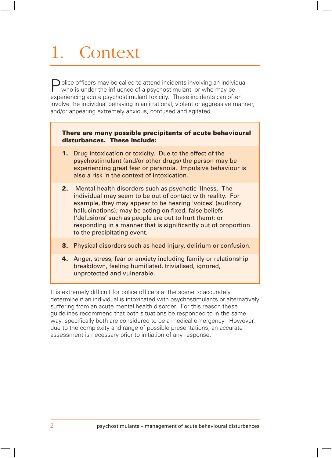# 1. Context

 $\bigcap$  olice officers may be called to attend incidents involving an individual who is under the influence of a psychostimulant, or who may be experiencing acute psychostimulant toxicity. These incidents can often involve the individual behaving in an irrational, violent or aggressive manner, and/or appearing extremely anxious, confused and agitated.

#### **There are many possible precipitants of acute behavioural disturbances. These include:**

- **1.** Drug intoxication or toxicity. Due to the effect of the psychostimulant (and/or other drugs) the person may be experiencing great fear or paranoia. Impulsive behaviour is also a risk in the context of intoxication.
- **2.** Mental health disorders such as psychotic illness. The individual may seem to be out of contact with reality. For example, they may appear to be hearing 'voices' (auditory hallucinations); may be acting on fixed, false beliefs ('delusions' such as people are out to hurt them); or responding in a manner that is significantly out of proportion to the precipitating event.
- **3.** Physical disorders such as head injury, delirium or confusion.
- **4.** Anger, stress, fear or anxiety including family or relationship breakdown, feeling humiliated, trivialised, ignored, unprotected and vulnerable.

It is extremely difficult for police officers at the scene to accurately determine if an individual is intoxicated with psychostimulants or alternatively suffering from an acute mental health disorder. For this reason these guidelines recommend that both situations be responded to in the same way, specifically both are considered to be a medical emergency. However, due to the complexity and range of possible presentations, an accurate assessment is necessary prior to initiation of any response.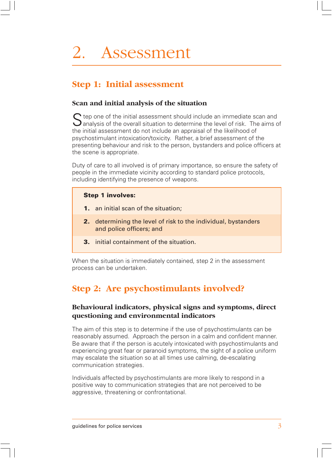# 2. Assessment

## **Step 1: Initial assessment**

### **Scan and initial analysis of the situation**

 $\bigcap$  tep one of the initial assessment should include an immediate scan and  $\bigcup$  analysis of the overall situation to determine the level of risk. The aims of the initial assessment do not include an appraisal of the likelihood of psychostimulant intoxication/toxicity. Rather, a brief assessment of the presenting behaviour and risk to the person, bystanders and police officers at the scene is appropriate.

Duty of care to all involved is of primary importance, so ensure the safety of people in the immediate vicinity according to standard police protocols, including identifying the presence of weapons.

### **Step 1 involves:**

- **1.** an initial scan of the situation;
- **2.** determining the level of risk to the individual, bystanders and police officers; and
- **3.** initial containment of the situation.

When the situation is immediately contained, step 2 in the assessment process can be undertaken.

## **Step 2: Are psychostimulants involved?**

### **Behavioural indicators, physical signs and symptoms, direct questioning and environmental indicators**

The aim of this step is to determine if the use of psychostimulants can be reasonably assumed. Approach the person in a calm and confident manner. Be aware that if the person is acutely intoxicated with psychostimulants and experiencing great fear or paranoid symptoms, the sight of a police uniform may escalate the situation so at all times use calming, de-escalating communication strategies.

Individuals affected by psychostimulants are more likely to respond in a positive way to communication strategies that are not perceived to be aggressive, threatening or confrontational.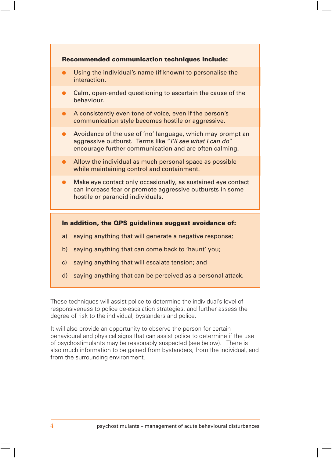

d) saying anything that can be perceived as a personal attack.

These techniques will assist police to determine the individual's level of responsiveness to police de-escalation strategies, and further assess the degree of risk to the individual, bystanders and police.

It will also provide an opportunity to observe the person for certain behavioural and physical signs that can assist police to determine if the use of psychostimulants may be reasonably suspected (see below). There is also much information to be gained from bystanders, from the individual, and from the surrounding environment.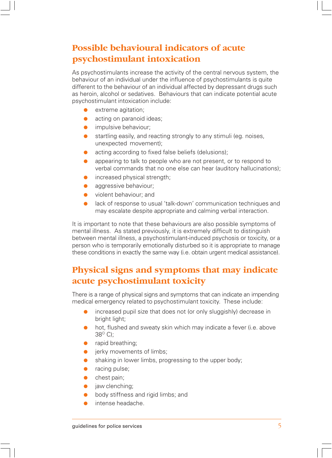## **Possible behavioural indicators of acute psychostimulant intoxication**

As psychostimulants increase the activity of the central nervous system, the behaviour of an individual under the influence of psychostimulants is quite different to the behaviour of an individual affected by depressant drugs such as heroin, alcohol or sedatives. Behaviours that can indicate potential acute psychostimulant intoxication include:

- extreme agitation;
- acting on paranoid ideas;
- **•** impulsive behaviour;
- startling easily, and reacting strongly to any stimuli (eg. noises, unexpected movement);
- acting according to fixed false beliefs (delusions);
- appearing to talk to people who are not present, or to respond to verbal commands that no one else can hear (auditory hallucinations);
- **•** increased physical strength;
- aggressive behaviour;
- violent behaviour; and
- lack of response to usual 'talk-down' communication techniques and may escalate despite appropriate and calming verbal interaction.

It is important to note that these behaviours are also possible symptoms of mental illness. As stated previously, it is extremely difficult to distinguish between mental illness, a psychostimulant-induced psychosis or toxicity, or a person who is temporarily emotionally disturbed so it is appropriate to manage these conditions in exactly the same way (i.e. obtain urgent medical assistance).

## **Physical signs and symptoms that may indicate acute psychostimulant toxicity**

There is a range of physical signs and symptoms that can indicate an impending medical emergency related to psychostimulant toxicity. These include:

- increased pupil size that does not (or only sluggishly) decrease in bright light;
- hot, flushed and sweaty skin which may indicate a fever (i.e. above  $38^{\circ}$  C);
- rapid breathing;
- **•** jerky movements of limbs;
- shaking in lower limbs, progressing to the upper body;
- racing pulse;
- chest pain;
- jaw clenching;
- body stiffness and rigid limbs; and
- intense headache.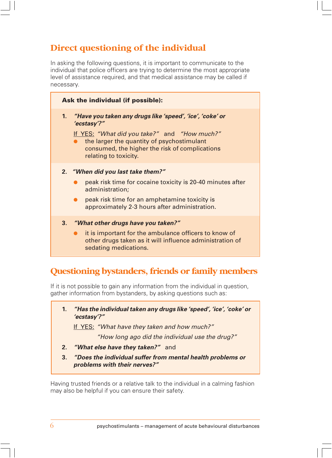## **Direct questioning of the individual**

In asking the following questions, it is important to communicate to the individual that police officers are trying to determine the most appropriate level of assistance required, and that medical assistance may be called if necessary.

| Ask the individual (if possible): |                                                                                                                                                                                                                                                  |  |
|-----------------------------------|--------------------------------------------------------------------------------------------------------------------------------------------------------------------------------------------------------------------------------------------------|--|
| 1.                                | "Have you taken any drugs like 'speed', 'ice', 'coke' or<br>'ecstasy'?"<br>If YES: "What did you take?" and "How much?"<br>the larger the quantity of psychostimulant<br>consumed, the higher the risk of complications<br>relating to toxicity. |  |
|                                   | 2. "When did you last take them?"<br>peak risk time for cocaine toxicity is 20-40 minutes after<br>administration;<br>peak risk time for an amphetamine toxicity is<br>approximately 2-3 hours after administration.                             |  |
| 3.                                | "What other drugs have you taken?"<br>it is important for the ambulance officers to know of<br>other drugs taken as it will influence administration of                                                                                          |  |

## **Questioning bystanders, friends or family members**

If it is not possible to gain any information from the individual in question, gather information from bystanders, by asking questions such as:

| "Has the individual taken any drugs like 'speed', 'ice', 'coke' or |
|--------------------------------------------------------------------|
| 'ecstasy'?"                                                        |

If YES: "What have they taken and how much?"

"How long ago did the individual use the drug?"

**2. "What else have they taken?"** and

sedating medications.

**3. "Does the individual suffer from mental health problems or problems with their nerves?"**

Having trusted friends or a relative talk to the individual in a calming fashion may also be helpful if you can ensure their safety.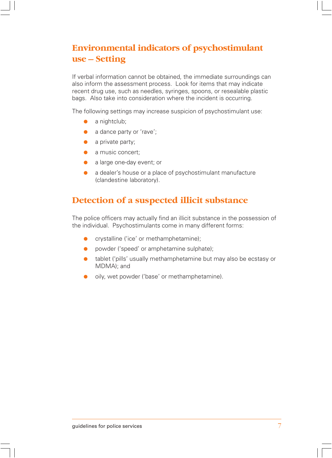## **Environmental indicators of psychostimulant use – Setting**

If verbal information cannot be obtained, the immediate surroundings can also inform the assessment process. Look for items that may indicate recent drug use, such as needles, syringes, spoons, or resealable plastic bags. Also take into consideration where the incident is occurring.

The following settings may increase suspicion of psychostimulant use:

- $\bullet$  a nightclub;
- a dance party or 'rave';
- a private party:
- a music concert;
- a large one-day event; or
- a dealer's house or a place of psychostimulant manufacture (clandestine laboratory).

### **Detection of a suspected illicit substance**

The police officers may actually find an illicit substance in the possession of the individual. Psychostimulants come in many different forms:

- crystalline ('ice' or methamphetamine);
- powder ('speed' or amphetamine sulphate);
- tablet ('pills' usually methamphetamine but may also be ecstasy or MDMA); and
- oily, wet powder ('base' or methamphetamine).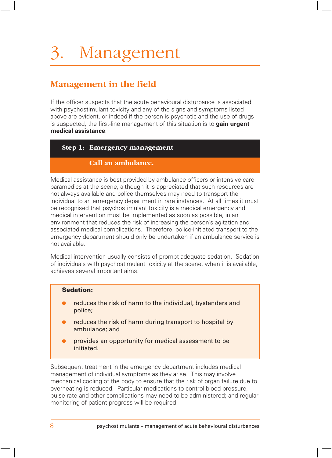## **Management in the field**

If the officer suspects that the acute behavioural disturbance is associated with psychostimulant toxicity and any of the signs and symptoms listed above are evident, or indeed if the person is psychotic and the use of drugs is suspected, the first-line management of this situation is to **gain urgent medical assistance**.

#### **Step 1: Emergency management**

### **Call an ambulance.**

Medical assistance is best provided by ambulance officers or intensive care paramedics at the scene, although it is appreciated that such resources are not always available and police themselves may need to transport the individual to an emergency department in rare instances. At all times it must be recognised that psychostimulant toxicity is a medical emergency and medical intervention must be implemented as soon as possible, in an environment that reduces the risk of increasing the person's agitation and associated medical complications. Therefore, police-initiated transport to the emergency department should only be undertaken if an ambulance service is not available.

Medical intervention usually consists of prompt adequate sedation. Sedation of individuals with psychostimulant toxicity at the scene, when it is available, achieves several important aims.

#### **Sedation:**

- reduces the risk of harm to the individual, bystanders and police;
- reduces the risk of harm during transport to hospital by ambulance; and
- provides an opportunity for medical assessment to be initiated.

Subsequent treatment in the emergency department includes medical management of individual symptoms as they arise. This may involve mechanical cooling of the body to ensure that the risk of organ failure due to overheating is reduced. Particular medications to control blood pressure, pulse rate and other complications may need to be administered; and regular monitoring of patient progress will be required.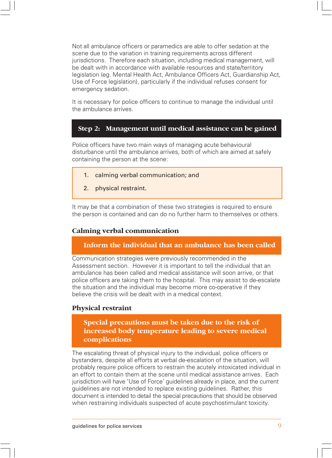Not all ambulance officers or paramedics are able to offer sedation at the scene due to the variation in training requirements across different jurisdictions. Therefore each situation, including medical management, will be dealt with in accordance with available resources and state/territory legislation (eg. Mental Health Act, Ambulance Officers Act, Guardianship Act, Use of Force legislation), particularly if the individual refuses consent for emergency sedation.

It is necessary for police officers to continue to manage the individual until the ambulance arrives.

### **Step 2: Management until medical assistance can be gained**

Police officers have two main ways of managing acute behavioural disturbance until the ambulance arrives, both of which are aimed at safely containing the person at the scene:

- 1. calming verbal communication; and
- 2. physical restraint.

It may be that a combination of these two strategies is required to ensure the person is contained and can do no further harm to themselves or others.

#### **Calming verbal communication**

#### **Inform the individual that an ambulance has been called**

Communication strategies were previously recommended in the Assessment section. However it is important to tell the individual that an ambulance has been called and medical assistance will soon arrive, or that police officers are taking them to the hospital. This may assist to de-escalate the situation and the individual may become more co-operative if they believe the crisis will be dealt with in a medical context.

#### **Physical restraint**

### **Special precautions must be taken due to the risk of increased body temperature leading to severe medical complications**

The escalating threat of physical injury to the individual, police officers or bystanders, despite all efforts at verbal de-escalation of the situation, will probably require police officers to restrain the acutely intoxicated individual in an effort to contain them at the scene until medical assistance arrives. Each jurisdiction will have 'Use of Force' guidelines already in place, and the current guidelines are not intended to replace existing guidelines. Rather, this document is intended to detail the special precautions that should be observed when restraining individuals suspected of acute psychostimulant toxicity.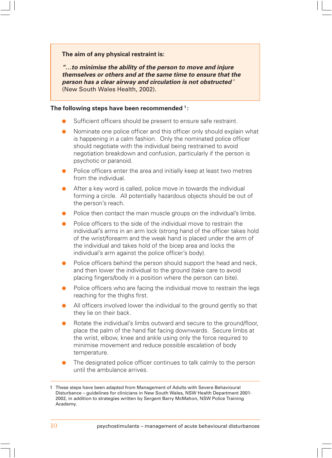#### **The aim of any physical restraint is:**

**"…to minimise the ability of the person to move and injure themselves or others and at the same time to ensure that the person has a clear airway and circulation is not obstructed**" (New South Wales Health, 2002).

#### **The following steps have been recommended 1 :**

- Sufficient officers should be present to ensure safe restraint.
- Nominate one police officer and this officer only should explain what is happening in a calm fashion. Only the nominated police officer should negotiate with the individual being restrained to avoid negotiation breakdown and confusion, particularly if the person is psychotic or paranoid.
- Police officers enter the area and initially keep at least two metres from the individual.
- After a key word is called, police move in towards the individual forming a circle. All potentially hazardous objects should be out of the person's reach.
- Police then contact the main muscle groups on the individual's limbs.
- Police officers to the side of the individual move to restrain the individual's arms in an arm lock (strong hand of the officer takes hold of the wrist/forearm and the weak hand is placed under the arm of the individual and takes hold of the bicep area and locks the individual's arm against the police officer's body).
- Police officers behind the person should support the head and neck, and then lower the individual to the ground (take care to avoid placing fingers/body in a position where the person can bite).
- Police officers who are facing the individual move to restrain the legs reaching for the thighs first.
- All officers involved lower the individual to the ground gently so that they lie on their back.
- Rotate the individual's limbs outward and secure to the ground/floor, place the palm of the hand flat facing downwards. Secure limbs at the wrist, elbow, knee and ankle using only the force required to minimise movement and reduce possible escalation of body temperature.
- The designated police officer continues to talk calmly to the person until the ambulance arrives.

<sup>1</sup> These steps have been adapted from Management of Adults with Severe Behavioural Disturbance – guidelines for clinicians in New South Wales, NSW Health Department 2001- 2002, in addition to strategies written by Sergent Barry McMahon, NSW Police Training Academy.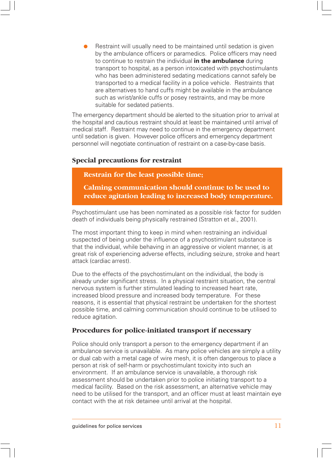Restraint will usually need to be maintained until sedation is given by the ambulance officers or paramedics. Police officers may need to continue to restrain the individual **in the ambulance** during transport to hospital, as a person intoxicated with psychostimulants who has been administered sedating medications cannot safely be transported to a medical facility in a police vehicle. Restraints that are alternatives to hand cuffs might be available in the ambulance such as wrist/ankle cuffs or posey restraints, and may be more suitable for sedated patients.

The emergency department should be alerted to the situation prior to arrival at the hospital and cautious restraint should at least be maintained until arrival of medical staff. Restraint may need to continue in the emergency department until sedation is given. However police officers and emergency department personnel will negotiate continuation of restraint on a case-by-case basis.

#### **Special precautions for restraint**

**Restrain for the least possible time;**

**Calming communication should continue to be used to reduce agitation leading to increased body temperature.**

Psychostimulant use has been nominated as a possible risk factor for sudden death of individuals being physically restrained (Stratton et al., 2001).

The most important thing to keep in mind when restraining an individual suspected of being under the influence of a psychostimulant substance is that the individual, while behaving in an aggressive or violent manner, is at great risk of experiencing adverse effects, including seizure, stroke and heart attack (cardiac arrest).

Due to the effects of the psychostimulant on the individual, the body is already under significant stress. In a physical restraint situation, the central nervous system is further stimulated leading to increased heart rate, increased blood pressure and increased body temperature. For these reasons, it is essential that physical restraint be undertaken for the shortest possible time, and calming communication should continue to be utilised to reduce agitation.

#### **Procedures for police-initiated transport if necessary**

Police should only transport a person to the emergency department if an ambulance service is unavailable. As many police vehicles are simply a utility or dual cab with a metal cage of wire mesh, it is often dangerous to place a person at risk of self-harm or psychostimulant toxicity into such an environment. If an ambulance service is unavailable, a thorough risk assessment should be undertaken prior to police initiating transport to a medical facility. Based on the risk assessment, an alternative vehicle may need to be utilised for the transport, and an officer must at least maintain eye contact with the at risk detainee until arrival at the hospital.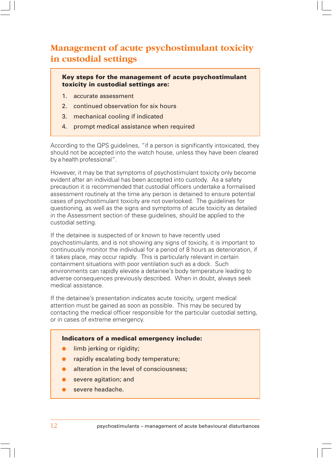## **Management of acute psychostimulant toxicity in custodial settings**

**Key steps for the management of acute psychostimulant toxicity in custodial settings are:**

- 1. accurate assessment
- 2. continued observation for six hours
- 3. mechanical cooling if indicated
- 4. prompt medical assistance when required

According to the QPS guidelines, "if a person is significantly intoxicated, they should not be accepted into the watch house, unless they have been cleared by a health professional".

However, it may be that symptoms of psychostimulant toxicity only become evident after an individual has been accepted into custody. As a safety precaution it is recommended that custodial officers undertake a formalised assessment routinely at the time any person is detained to ensure potential cases of psychostimulant toxicity are not overlooked. The guidelines for questioning, as well as the signs and symptoms of acute toxicity as detailed in the Assessment section of these guidelines, should be applied to the custodial setting.

If the detainee is suspected of or known to have recently used psychostimulants, and is not showing any signs of toxicity, it is important to continuously monitor the individual for a period of 8 hours as deterioration, if it takes place, may occur rapidly. This is particularly relevant in certain containment situations with poor ventilation such as a dock. Such environments can rapidly elevate a detainee's body temperature leading to adverse consequences previously described. When in doubt, always seek medical assistance.

If the detainee's presentation indicates acute toxicity, urgent medical attention must be gained as soon as possible. This may be secured by contacting the medical officer responsible for the particular custodial setting, or in cases of extreme emergency.

#### **Indicators of a medical emergency include:**

- **•** limb jerking or rigidity;
- rapidly escalating body temperature;
- alteration in the level of consciousness;
- severe agitation; and
- severe headache.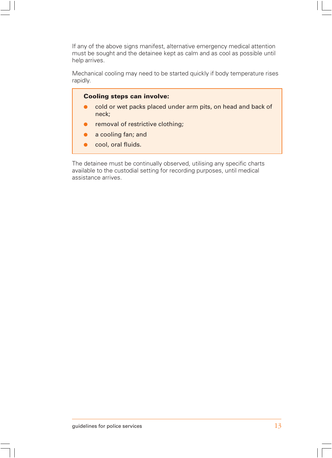If any of the above signs manifest, alternative emergency medical attention must be sought and the detainee kept as calm and as cool as possible until help arrives.

Mechanical cooling may need to be started quickly if body temperature rises rapidly.

#### **Cooling steps can involve:**

- cold or wet packs placed under arm pits, on head and back of neck;
- removal of restrictive clothing;
- a cooling fan; and
- cool, oral fluids.

The detainee must be continually observed, utilising any specific charts available to the custodial setting for recording purposes, until medical assistance arrives.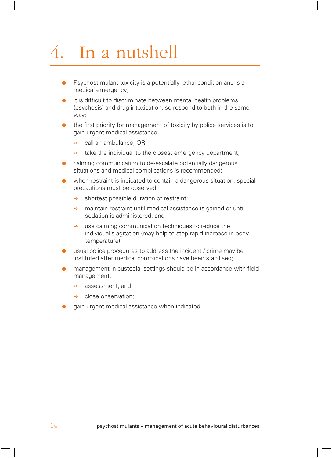# 4. In a nutshell

- Psychostimulant toxicity is a potentially lethal condition and is a medical emergency;
- it is difficult to discriminate between mental health problems (psychosis) and drug intoxication, so respond to both in the same way;
- the first priority for management of toxicity by police services is to gain urgent medical assistance:
	- **→** call an ambulance: OR
	- $\rightarrow$  take the individual to the closest emergency department;
- calming communication to de-escalate potentially dangerous situations and medical complications is recommended;
- when restraint is indicated to contain a dangerous situation, special precautions must be observed:
	- $\rightarrow$  shortest possible duration of restraint;
	- $\rightarrow$  maintain restraint until medical assistance is gained or until sedation is administered; and
	- **→** use calming communication techniques to reduce the individual's agitation (may help to stop rapid increase in body temperature);
- usual police procedures to address the incident / crime may be instituted after medical complications have been stabilised;
- management in custodial settings should be in accordance with field management:
	- **→** assessment: and
	- **→** close observation:
- gain urgent medical assistance when indicated.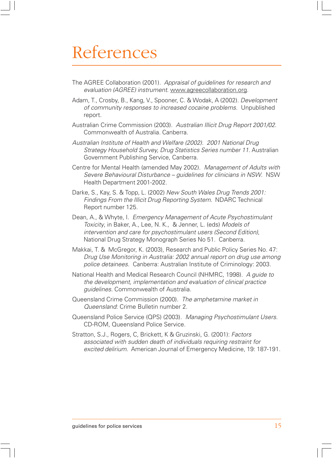# References

- The AGREE Collaboration (2001). Appraisal of guidelines for research and evaluation (AGREE) instrument. www.agreecollaboration.org.
- Adam, T., Crosby, B., Kang, V., Spooner, C. & Wodak, A (2002). Development of community responses to increased cocaine problems. Unpublished report.
- Australian Crime Commission (2003). Australian Illicit Drug Report 2001/02. Commonwealth of Australia. Canberra.
- Australian Institute of Health and Welfare (2002). 2001 National Drug Strategy Household Survey, Drug Statistics Series number 11. Australian Government Publishing Service, Canberra.
- Centre for Mental Health (amended May 2002). Management of Adults with Severe Behavioural Disturbance – guidelines for clinicians in NSW. NSW Health Department 2001-2002.
- Darke, S., Kay, S. & Topp, L. (2002) New South Wales Drug Trends 2001: Findings From the Illicit Drug Reporting System. NDARC Technical Report number 125.
- Dean, A., & Whyte, I. Emergency Management of Acute Psychostimulant Toxicity, in Baker, A., Lee, N. K., & Jenner, L. (eds) Models of intervention and care for psychostimulant users (Second Edition), National Drug Strategy Monograph Series No 51. Canberra.
- Makkai, T. & McGregor, K. (2003), Research and Public Policy Series No. 47: Drug Use Monitoring in Australia: 2002 annual report on drug use among police detainees. Canberra: Australian Institute of Criminology: 2003.
- National Health and Medical Research Council (NHMRC, 1998). A guide to the development, implementation and evaluation of clinical practice guidelines. Commonwealth of Australia.
- Queensland Crime Commission (2000). The amphetamine market in Queensland: Crime Bulletin number 2.
- Queensland Police Service (QPS) (2003). Managing Psychostimulant Users. CD-ROM, Queensland Police Service.
- Stratton, S.J., Rogers, C, Brickett, K & Gruzinski, G. (2001): Factors associated with sudden death of individuals requiring restraint for excited delirium. American Journal of Emergency Medicine, 19: 187-191.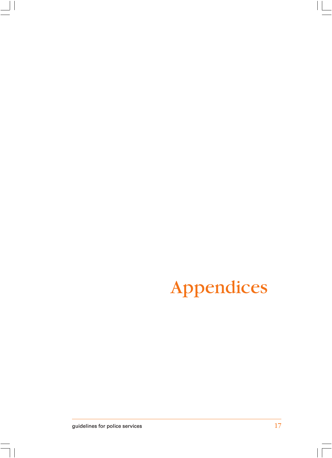# Appendices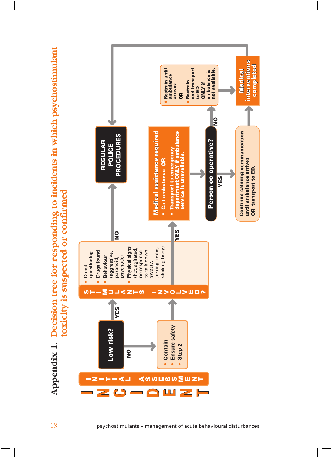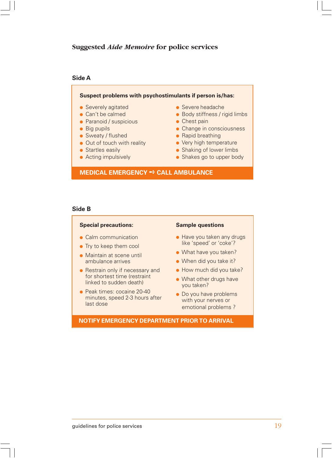#### **Suggested** *Aide Memoire* **for police services**

#### **Side A**

#### **Suspect problems with psychostimulants if person is/has:**

- Severely agitated
- Can't be calmed
- Paranoid / suspicious
- Big pupils
- Sweaty / flushed
- Out of touch with reality
- Startles easily
- Acting impulsively
- Severe headache
- Body stiffness / rigid limbs
- Chest pain
- Change in consciousness
- Rapid breathing
- Very high temperature
- Shaking of lower limbs
- Shakes go to upper body

#### **MEDICAL EMERGENCY** ➺ **CALL AMBULANCE**

#### **Side B**

#### **Special precautions:**

- Calm communication
- Try to keep them cool
- Maintain at scene until ambulance arrives
- Restrain only if necessary and for shortest time (restraint linked to sudden death)
- Peak times: cocaine 20-40 minutes, speed 2-3 hours after last dose

#### **Sample questions**

- Have you taken any drugs like 'speed' or 'coke'?
- What have you taken?
- When did you take it?
- How much did you take?
- What other drugs have you taken?
- Do you have problems with your nerves or emotional problems ?

#### **NOTIFY EMERGENCY DEPARTMENT PRIOR TO ARRIVAL**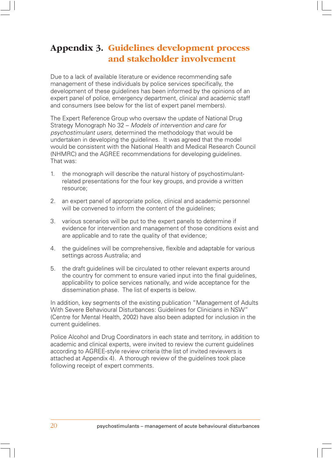## **Appendix 3. Guidelines development process and stakeholder involvement**

Due to a lack of available literature or evidence recommending safe management of these individuals by police services specifically, the development of these guidelines has been informed by the opinions of an expert panel of police, emergency department, clinical and academic staff and consumers (see below for the list of expert panel members).

The Expert Reference Group who oversaw the update of National Drug Strategy Monograph No 32 – Models of intervention and care for psychostimulant users, determined the methodology that would be undertaken in developing the guidelines. It was agreed that the model would be consistent with the National Health and Medical Research Council (NHMRC) and the AGREE recommendations for developing guidelines. That was:

- 1. the monograph will describe the natural history of psychostimulantrelated presentations for the four key groups, and provide a written resource;
- 2. an expert panel of appropriate police, clinical and academic personnel will be convened to inform the content of the guidelines;
- 3. various scenarios will be put to the expert panels to determine if evidence for intervention and management of those conditions exist and are applicable and to rate the quality of that evidence;
- 4. the guidelines will be comprehensive, flexible and adaptable for various settings across Australia; and
- 5. the draft guidelines will be circulated to other relevant experts around the country for comment to ensure varied input into the final guidelines, applicability to police services nationally, and wide acceptance for the dissemination phase. The list of experts is below.

In addition, key segments of the existing publication "Management of Adults With Severe Behavioural Disturbances: Guidelines for Clinicians in NSW" (Centre for Mental Health, 2002) have also been adapted for inclusion in the current guidelines.

Police Alcohol and Drug Coordinators in each state and territory, in addition to academic and clinical experts, were invited to review the current guidelines according to AGREE-style review criteria (the list of invited reviewers is attached at Appendix 4). A thorough review of the guidelines took place following receipt of expert comments.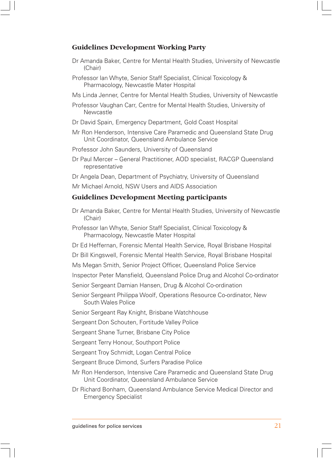### **Guidelines Development Working Party**

- Dr Amanda Baker, Centre for Mental Health Studies, University of Newcastle (Chair)
- Professor Ian Whyte, Senior Staff Specialist, Clinical Toxicology & Pharmacology, Newcastle Mater Hospital
- Ms Linda Jenner, Centre for Mental Health Studies, University of Newcastle
- Professor Vaughan Carr, Centre for Mental Health Studies, University of **Newcastle**
- Dr David Spain, Emergency Department, Gold Coast Hospital
- Mr Ron Henderson, Intensive Care Paramedic and Queensland State Drug Unit Coordinator, Queensland Ambulance Service
- Professor John Saunders, University of Queensland
- Dr Paul Mercer General Practitioner, AOD specialist, RACGP Queensland representative
- Dr Angela Dean, Department of Psychiatry, University of Queensland

Mr Michael Arnold, NSW Users and AIDS Association

### **Guidelines Development Meeting participants**

Dr Amanda Baker, Centre for Mental Health Studies, University of Newcastle (Chair)

Professor Ian Whyte, Senior Staff Specialist, Clinical Toxicology & Pharmacology, Newcastle Mater Hospital

- Dr Ed Heffernan, Forensic Mental Health Service, Royal Brisbane Hospital
- Dr Bill Kingswell, Forensic Mental Health Service, Royal Brisbane Hospital
- Ms Megan Smith, Senior Project Officer, Queensland Police Service
- Inspector Peter Mansfield, Queensland Police Drug and Alcohol Co-ordinator
- Senior Sergeant Damian Hansen, Drug & Alcohol Co-ordination
- Senior Sergeant Philippa Woolf, Operations Resource Co-ordinator, New South Wales Police

Senior Sergeant Ray Knight, Brisbane Watchhouse

Sergeant Don Schouten, Fortitude Valley Police

Sergeant Shane Turner, Brisbane City Police

Sergeant Terry Honour, Southport Police

Sergeant Troy Schmidt, Logan Central Police

Sergeant Bruce Dimond, Surfers Paradise Police

- Mr Ron Henderson, Intensive Care Paramedic and Queensland State Drug Unit Coordinator, Queensland Ambulance Service
- Dr Richard Bonham, Queensland Ambulance Service Medical Director and Emergency Specialist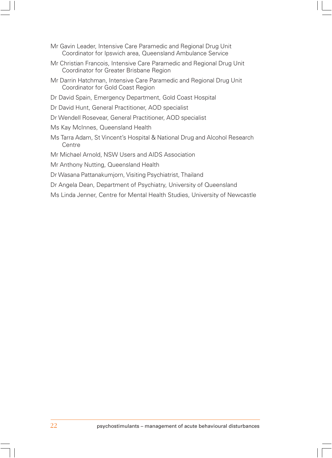- Mr Gavin Leader, Intensive Care Paramedic and Regional Drug Unit Coordinator for Ipswich area, Queensland Ambulance Service
- Mr Christian Francois, Intensive Care Paramedic and Regional Drug Unit Coordinator for Greater Brisbane Region
- Mr Darrin Hatchman, Intensive Care Paramedic and Regional Drug Unit Coordinator for Gold Coast Region
- Dr David Spain, Emergency Department, Gold Coast Hospital
- Dr David Hunt, General Practitioner, AOD specialist
- Dr Wendell Rosevear, General Practitioner, AOD specialist
- Ms Kay McInnes, Queensland Health
- Ms Tarra Adam, St Vincent's Hospital & National Drug and Alcohol Research Centre
- Mr Michael Arnold, NSW Users and AIDS Association
- Mr Anthony Nutting, Queensland Health
- Dr Wasana Pattanakumjorn, Visiting Psychiatrist, Thailand
- Dr Angela Dean, Department of Psychiatry, University of Queensland
- Ms Linda Jenner, Centre for Mental Health Studies, University of Newcastle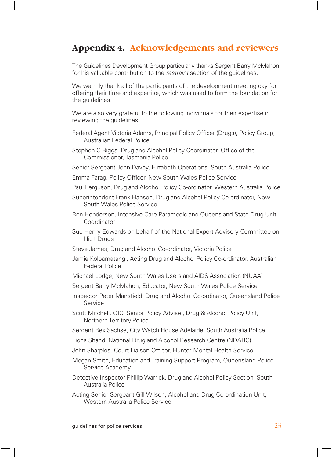## **Appendix 4. Acknowledgements and reviewers**

The Guidelines Development Group particularly thanks Sergent Barry McMahon for his valuable contribution to the *restraint* section of the quidelines.

We warmly thank all of the participants of the development meeting day for offering their time and expertise, which was used to form the foundation for the guidelines.

We are also very grateful to the following individuals for their expertise in reviewing the guidelines:

- Federal Agent Victoria Adams, Principal Policy Officer (Drugs), Policy Group, Australian Federal Police
- Stephen C Biggs, Drug and Alcohol Policy Coordinator, Office of the Commissioner, Tasmania Police
- Senior Sergeant John Davey, Elizabeth Operations, South Australia Police
- Emma Farag, Policy Officer, New South Wales Police Service
- Paul Ferguson, Drug and Alcohol Policy Co-ordinator, Western Australia Police
- Superintendent Frank Hansen, Drug and Alcohol Policy Co-ordinator, New South Wales Police Service
- Ron Henderson, Intensive Care Paramedic and Queensland State Drug Unit Coordinator
- Sue Henry-Edwards on behalf of the National Expert Advisory Committee on Illicit Drugs
- Steve James, Drug and Alcohol Co-ordinator, Victoria Police
- Jamie Koloamatangi, Acting Drug and Alcohol Policy Co-ordinator, Australian Federal Police.
- Michael Lodge, New South Wales Users and AIDS Association (NUAA)
- Sergent Barry McMahon, Educator, New South Wales Police Service
- Inspector Peter Mansfield, Drug and Alcohol Co-ordinator, Queensland Police Service
- Scott Mitchell, OIC, Senior Policy Adviser, Drug & Alcohol Policy Unit, Northern Territory Police
- Sergent Rex Sachse, City Watch House Adelaide, South Australia Police
- Fiona Shand, National Drug and Alcohol Research Centre (NDARC)
- John Sharples, Court Liaison Officer, Hunter Mental Health Service
- Megan Smith, Education and Training Support Program, Queensland Police Service Academy
- Detective Inspector Phillip Warrick, Drug and Alcohol Policy Section, South Australia Police
- Acting Senior Sergeant Gill Wilson, Alcohol and Drug Co-ordination Unit, Western Australia Police Service